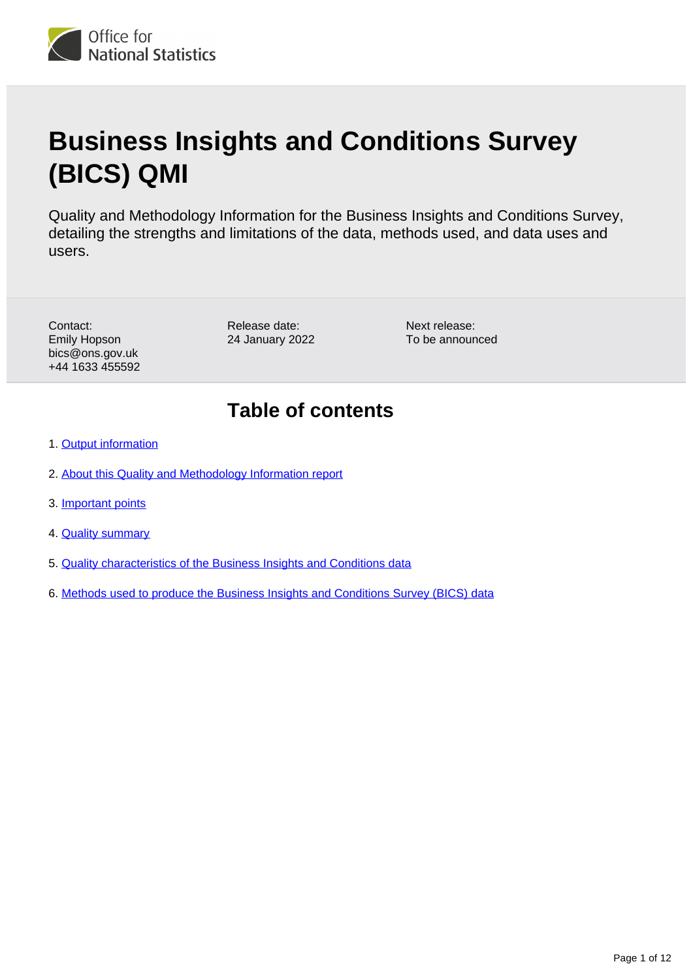

# **Business Insights and Conditions Survey (BICS) QMI**

Quality and Methodology Information for the Business Insights and Conditions Survey, detailing the strengths and limitations of the data, methods used, and data uses and users.

Contact: Emily Hopson bics@ons.gov.uk +44 1633 455592

Release date: 24 January 2022 Next release: To be announced

## **Table of contents**

- 1. [Output information](#page-1-0)
- 2. [About this Quality and Methodology Information report](#page-1-1)
- 3. [Important points](#page-1-2)
- 4. **[Quality summary](#page-2-0)**
- 5. [Quality characteristics of the Business Insights and Conditions data](#page-5-0)
- 6. [Methods used to produce the Business Insights and Conditions Survey \(BICS\) data](#page-8-0)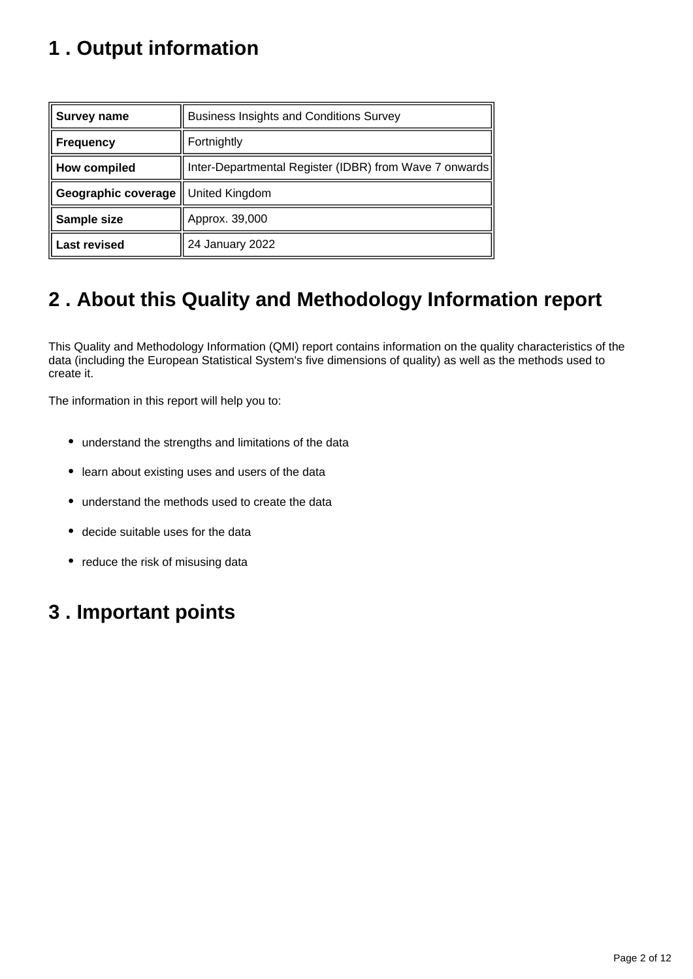## <span id="page-1-0"></span>**1 . Output information**

| Survey name         | <b>Business Insights and Conditions Survey</b>         |
|---------------------|--------------------------------------------------------|
| <b>Frequency</b>    | Fortnightly                                            |
| How compiled        | Inter-Departmental Register (IDBR) from Wave 7 onwards |
| Geographic coverage | United Kingdom                                         |
| Sample size         | Approx. 39,000                                         |
| <b>Last revised</b> | 24 January 2022                                        |

## <span id="page-1-1"></span>**2 . About this Quality and Methodology Information report**

This Quality and Methodology Information (QMI) report contains information on the quality characteristics of the data (including the European Statistical System's five dimensions of quality) as well as the methods used to create it.

The information in this report will help you to:

- understand the strengths and limitations of the data
- learn about existing uses and users of the data
- understand the methods used to create the data
- decide suitable uses for the data
- reduce the risk of misusing data

## <span id="page-1-2"></span>**3 . Important points**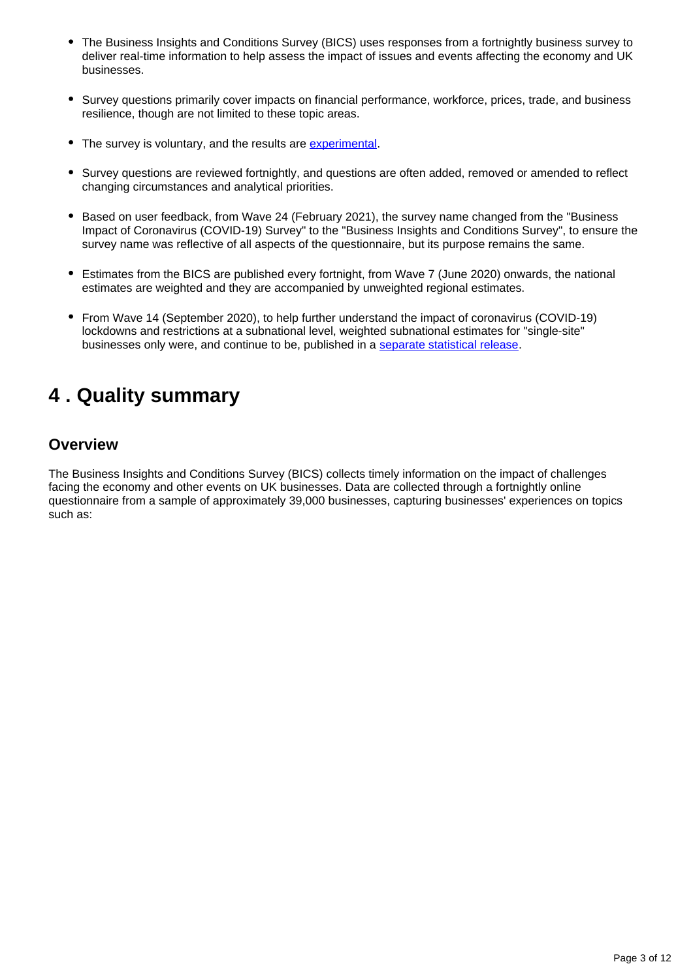- The Business Insights and Conditions Survey (BICS) uses responses from a fortnightly business survey to deliver real-time information to help assess the impact of issues and events affecting the economy and UK businesses.
- Survey questions primarily cover impacts on financial performance, workforce, prices, trade, and business resilience, though are not limited to these topic areas.
- The survey is voluntary, and the results are [experimental](https://www.ons.gov.uk/methodology/methodologytopicsandstatisticalconcepts/guidetoexperimentalstatistics).
- Survey questions are reviewed fortnightly, and questions are often added, removed or amended to reflect changing circumstances and analytical priorities.
- Based on user feedback, from Wave 24 (February 2021), the survey name changed from the "Business Impact of Coronavirus (COVID-19) Survey" to the "Business Insights and Conditions Survey", to ensure the survey name was reflective of all aspects of the questionnaire, but its purpose remains the same.
- Estimates from the BICS are published every fortnight, from Wave 7 (June 2020) onwards, the national estimates are weighted and they are accompanied by unweighted regional estimates.
- From Wave 14 (September 2020), to help further understand the impact of coronavirus (COVID-19) lockdowns and restrictions at a subnational level, weighted subnational estimates for "single-site" businesses only were, and continue to be, published in a [separate statistical release.](https://www.ons.gov.uk/businessindustryandtrade/business/businessservices/articles/businessinsightsandimpactontheukandsubnationaleconomy/latest)

## <span id="page-2-0"></span>**4 . Quality summary**

#### **Overview**

The Business Insights and Conditions Survey (BICS) collects timely information on the impact of challenges facing the economy and other events on UK businesses. Data are collected through a fortnightly online questionnaire from a sample of approximately 39,000 businesses, capturing businesses' experiences on topics such as: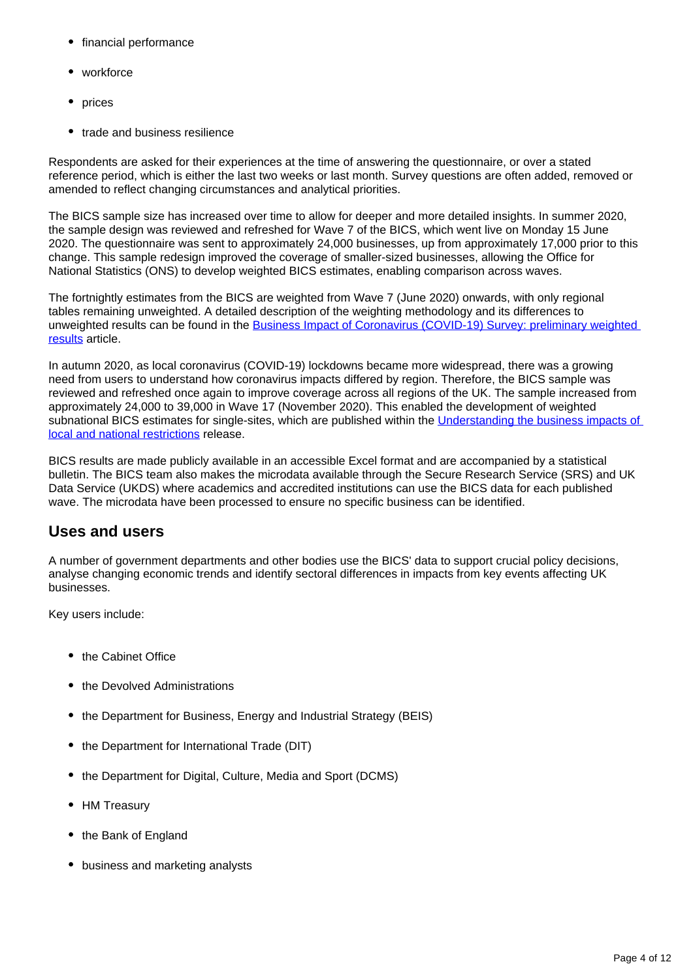- financial performance
- workforce
- prices
- trade and business resilience

Respondents are asked for their experiences at the time of answering the questionnaire, or over a stated reference period, which is either the last two weeks or last month. Survey questions are often added, removed or amended to reflect changing circumstances and analytical priorities.

The BICS sample size has increased over time to allow for deeper and more detailed insights. In summer 2020, the sample design was reviewed and refreshed for Wave 7 of the BICS, which went live on Monday 15 June 2020. The questionnaire was sent to approximately 24,000 businesses, up from approximately 17,000 prior to this change. This sample redesign improved the coverage of smaller-sized businesses, allowing the Office for National Statistics (ONS) to develop weighted BICS estimates, enabling comparison across waves.

The fortnightly estimates from the BICS are weighted from Wave 7 (June 2020) onwards, with only regional tables remaining unweighted. A detailed description of the weighting methodology and its differences to unweighted results can be found in the Business Impact of Coronavirus (COVID-19) Survey: preliminary weighted [results](https://www.ons.gov.uk/businessindustryandtrade/business/businessservices/articles/businessimpactofcoronaviruscovid19survey/preliminaryweightedresults) article.

In autumn 2020, as local coronavirus (COVID-19) lockdowns became more widespread, there was a growing need from users to understand how coronavirus impacts differed by region. Therefore, the BICS sample was reviewed and refreshed once again to improve coverage across all regions of the UK. The sample increased from approximately 24,000 to 39,000 in Wave 17 (November 2020). This enabled the development of weighted subnational BICS estimates for single-sites, which are published within the Understanding the business impacts of [local and national restrictions](https://www.ons.gov.uk/businessindustryandtrade/business/businessservices/articles/businessinsightsandimpactontheukandsubnationaleconomy/july2021) release.

BICS results are made publicly available in an accessible Excel format and are accompanied by a statistical bulletin. The BICS team also makes the microdata available through the Secure Research Service (SRS) and UK Data Service (UKDS) where academics and accredited institutions can use the BICS data for each published wave. The microdata have been processed to ensure no specific business can be identified.

## **Uses and users**

A number of government departments and other bodies use the BICS' data to support crucial policy decisions, analyse changing economic trends and identify sectoral differences in impacts from key events affecting UK businesses.

Key users include:

- the Cabinet Office
- the Devolved Administrations
- the Department for Business, Energy and Industrial Strategy (BEIS)
- the Department for International Trade (DIT)
- the Department for Digital, Culture, Media and Sport (DCMS)
- HM Treasury
- the Bank of England
- business and marketing analysts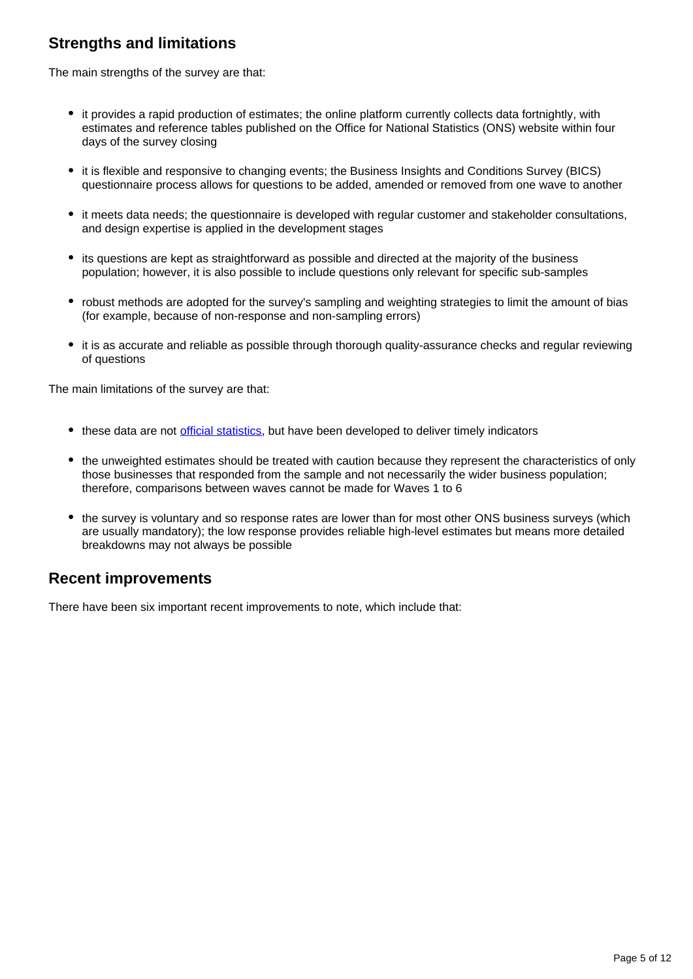## **Strengths and limitations**

The main strengths of the survey are that:

- it provides a rapid production of estimates; the online platform currently collects data fortnightly, with estimates and reference tables published on the Office for National Statistics (ONS) website within four days of the survey closing
- it is flexible and responsive to changing events; the Business Insights and Conditions Survey (BICS) questionnaire process allows for questions to be added, amended or removed from one wave to another
- it meets data needs; the questionnaire is developed with regular customer and stakeholder consultations, and design expertise is applied in the development stages
- its questions are kept as straightforward as possible and directed at the majority of the business population; however, it is also possible to include questions only relevant for specific sub-samples
- robust methods are adopted for the survey's sampling and weighting strategies to limit the amount of bias (for example, because of non-response and non-sampling errors)
- it is as accurate and reliable as possible through thorough quality-assurance checks and regular reviewing of questions

The main limitations of the survey are that:

- these data are not [official statistics,](https://uksa.statisticsauthority.gov.uk/about-the-authority/uk-statistical-system/types-of-official-statistics/) but have been developed to deliver timely indicators
- the unweighted estimates should be treated with caution because they represent the characteristics of only those businesses that responded from the sample and not necessarily the wider business population; therefore, comparisons between waves cannot be made for Waves 1 to 6
- the survey is voluntary and so response rates are lower than for most other ONS business surveys (which are usually mandatory); the low response provides reliable high-level estimates but means more detailed breakdowns may not always be possible

#### **Recent improvements**

There have been six important recent improvements to note, which include that: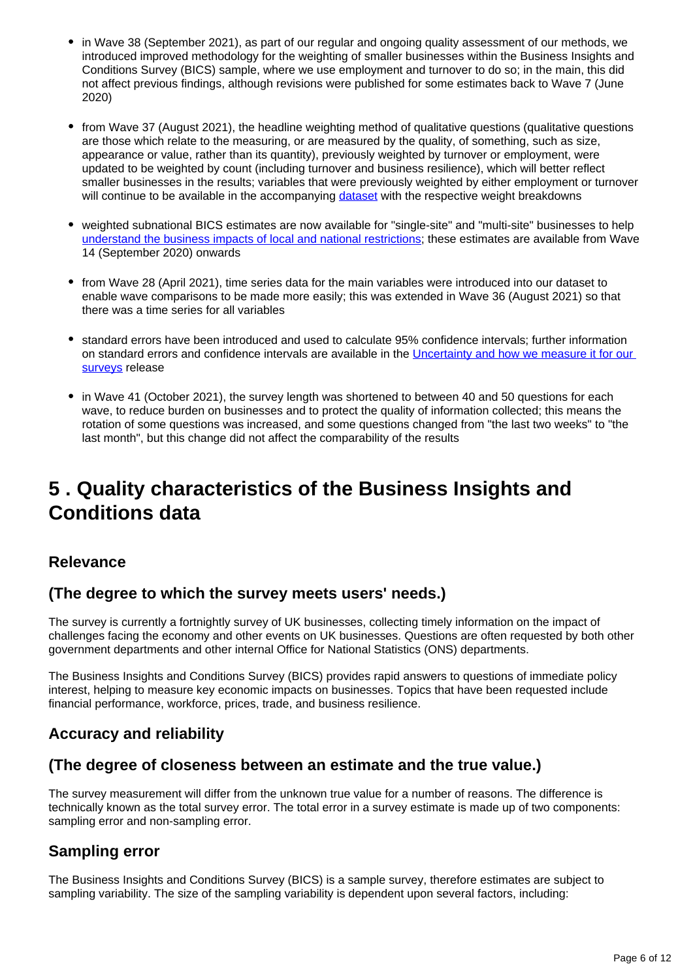- in Wave 38 (September 2021), as part of our regular and ongoing quality assessment of our methods, we introduced improved methodology for the weighting of smaller businesses within the Business Insights and Conditions Survey (BICS) sample, where we use employment and turnover to do so; in the main, this did not affect previous findings, although revisions were published for some estimates back to Wave 7 (June 2020)
- from Wave 37 (August 2021), the headline weighting method of qualitative questions (qualitative questions are those which relate to the measuring, or are measured by the quality, of something, such as size, appearance or value, rather than its quantity), previously weighted by turnover or employment, were updated to be weighted by count (including turnover and business resilience), which will better reflect smaller businesses in the results; variables that were previously weighted by either employment or turnover will continue to be available in the accompanying [dataset](https://www.ons.gov.uk/economy/economicoutputandproductivity/output/datasets/businessinsightsandimpactontheukeconomy) with the respective weight breakdowns
- weighted subnational BICS estimates are now available for "single-site" and "multi-site" businesses to help [understand the business impacts of local and national restrictions;](https://www.ons.gov.uk/businessindustryandtrade/business/businessservices/articles/businessinsightsandimpactontheukandsubnationaleconomy/july2021) these estimates are available from Wave 14 (September 2020) onwards
- from Wave 28 (April 2021), time series data for the main variables were introduced into our dataset to enable wave comparisons to be made more easily; this was extended in Wave 36 (August 2021) so that there was a time series for all variables
- standard errors have been introduced and used to calculate 95% confidence intervals; further information on standard errors and confidence intervals are available in the [Uncertainty and how we measure it for our](https://www.ons.gov.uk/methodology/methodologytopicsandstatisticalconcepts/uncertaintyandhowwemeasureit)  [surveys](https://www.ons.gov.uk/methodology/methodologytopicsandstatisticalconcepts/uncertaintyandhowwemeasureit) release
- in Wave 41 (October 2021), the survey length was shortened to between 40 and 50 questions for each wave, to reduce burden on businesses and to protect the quality of information collected; this means the rotation of some questions was increased, and some questions changed from "the last two weeks" to "the last month", but this change did not affect the comparability of the results

## <span id="page-5-0"></span>**5 . Quality characteristics of the Business Insights and Conditions data**

#### **Relevance**

## **(The degree to which the survey meets users' needs.)**

The survey is currently a fortnightly survey of UK businesses, collecting timely information on the impact of challenges facing the economy and other events on UK businesses. Questions are often requested by both other government departments and other internal Office for National Statistics (ONS) departments.

The Business Insights and Conditions Survey (BICS) provides rapid answers to questions of immediate policy interest, helping to measure key economic impacts on businesses. Topics that have been requested include financial performance, workforce, prices, trade, and business resilience.

## **Accuracy and reliability**

## **(The degree of closeness between an estimate and the true value.)**

The survey measurement will differ from the unknown true value for a number of reasons. The difference is technically known as the total survey error. The total error in a survey estimate is made up of two components: sampling error and non-sampling error.

## **Sampling error**

The Business Insights and Conditions Survey (BICS) is a sample survey, therefore estimates are subject to sampling variability. The size of the sampling variability is dependent upon several factors, including: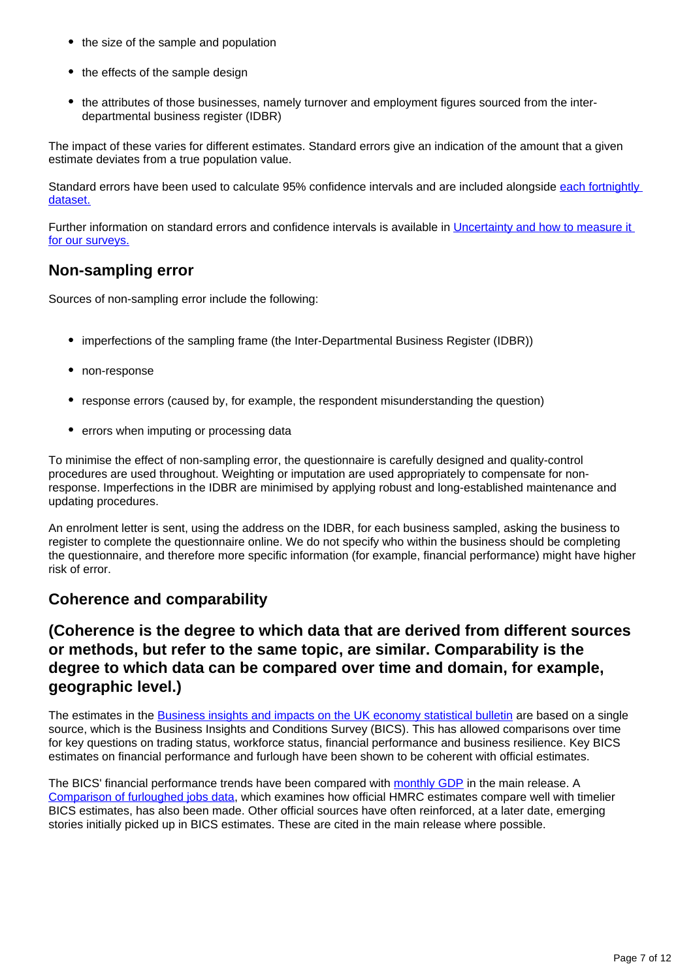- the size of the sample and population
- the effects of the sample design
- the attributes of those businesses, namely turnover and employment figures sourced from the interdepartmental business register (IDBR)

The impact of these varies for different estimates. Standard errors give an indication of the amount that a given estimate deviates from a true population value.

Standard errors have been used to calculate 95% confidence intervals and are included alongside each fortnightly [dataset.](https://www.ons.gov.uk/economy/economicoutputandproductivity/output/datasets/businessinsightsandimpactontheukeconomy)

Further information on standard errors and confidence intervals is available in Uncertainty and how to measure it [for our surveys.](https://www.ons.gov.uk/methodology/methodologytopicsandstatisticalconcepts/uncertaintyandhowwemeasureit)

### **Non-sampling error**

Sources of non-sampling error include the following:

- imperfections of the sampling frame (the Inter-Departmental Business Register (IDBR))
- non-response
- response errors (caused by, for example, the respondent misunderstanding the question)
- errors when imputing or processing data

To minimise the effect of non-sampling error, the questionnaire is carefully designed and quality-control procedures are used throughout. Weighting or imputation are used appropriately to compensate for nonresponse. Imperfections in the IDBR are minimised by applying robust and long-established maintenance and updating procedures.

An enrolment letter is sent, using the address on the IDBR, for each business sampled, asking the business to register to complete the questionnaire online. We do not specify who within the business should be completing the questionnaire, and therefore more specific information (for example, financial performance) might have higher risk of error.

#### **Coherence and comparability**

### **(Coherence is the degree to which data that are derived from different sources or methods, but refer to the same topic, are similar. Comparability is the degree to which data can be compared over time and domain, for example, geographic level.)**

The estimates in the **Business insights and impacts on the UK** economy statistical bulletin are based on a single source, which is the Business Insights and Conditions Survey (BICS). This has allowed comparisons over time for key questions on trading status, workforce status, financial performance and business resilience. Key BICS estimates on financial performance and furlough have been shown to be coherent with official estimates.

The BICS' financial performance trends have been compared with [monthly GDP](https://www.ons.gov.uk/businessindustryandtrade/business/businessservices/bulletins/businessinsightsandimpactontheukeconomy/27january2022#business-insights-and-conditions-survey-bics-and-adjusted-monthly-gross-domestic-product-termed-as-gdp-estimates) in the main release. A [Comparison of furloughed jobs data,](https://www.ons.gov.uk/businessindustryandtrade/business/businessservices/articles/comparisonoffurloughedjobsdata/march2020tojune2021) which examines how official HMRC estimates compare well with timelier BICS estimates, has also been made. Other official sources have often reinforced, at a later date, emerging stories initially picked up in BICS estimates. These are cited in the main release where possible.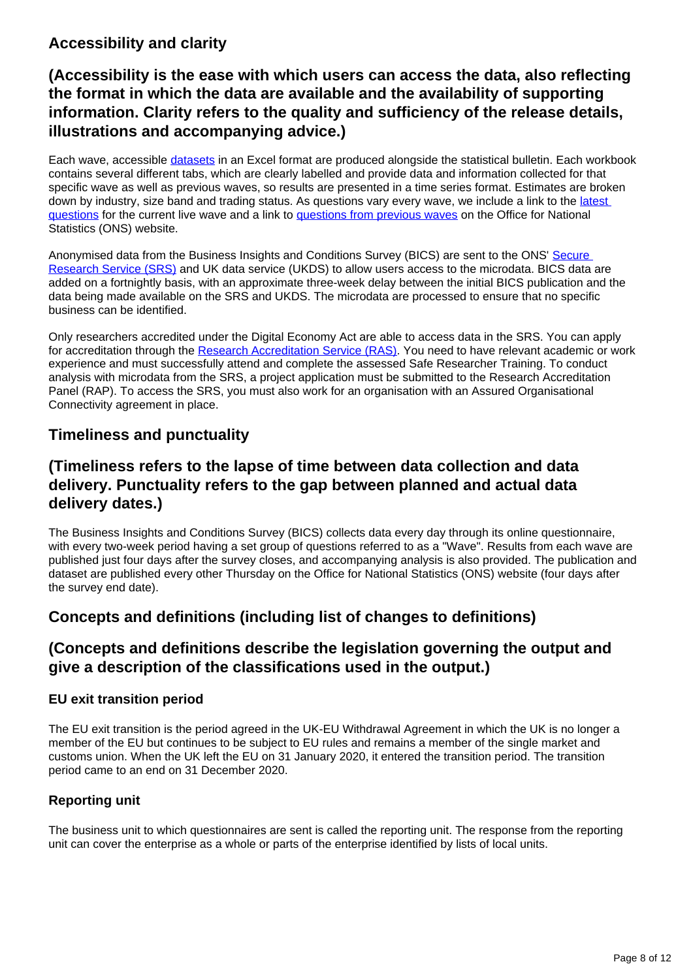## **Accessibility and clarity**

## **(Accessibility is the ease with which users can access the data, also reflecting the format in which the data are available and the availability of supporting information. Clarity refers to the quality and sufficiency of the release details, illustrations and accompanying advice.)**

Each wave, accessible [datasets](https://www.ons.gov.uk/economy/economicoutputandproductivity/output/datasets/businessinsightsandimpactontheukeconomy) in an Excel format are produced alongside the statistical bulletin. Each workbook contains several different tabs, which are clearly labelled and provide data and information collected for that specific wave as well as previous waves, so results are presented in a time series format. Estimates are broken down by industry, size band and trading status. As questions vary every wave, we include a link to the latest [questions](https://www.ons.gov.uk/peoplepopulationandcommunity/healthandsocialcare/conditionsanddiseases/articles/businessimpactofcovid19surveyquestions/latest) for the current live wave and a link to [questions from previous waves](https://www.ons.gov.uk/peoplepopulationandcommunity/healthandsocialcare/conditionsanddiseases/articles/businessimpactofcovid19surveyquestions/previousReleases) on the Office for National Statistics (ONS) website.

Anonymised data from the Business Insights and Conditions Survey (BICS) are sent to the ONS' [Secure](https://www.ons.gov.uk/aboutus/whatwedo/statistics/requestingstatistics/approvedresearcherscheme/)  [Research Service \(SRS\)](https://www.ons.gov.uk/aboutus/whatwedo/statistics/requestingstatistics/approvedresearcherscheme/) and UK data service (UKDS) to allow users access to the microdata. BICS data are added on a fortnightly basis, with an approximate three-week delay between the initial BICS publication and the data being made available on the SRS and UKDS. The microdata are processed to ensure that no specific business can be identified.

Only researchers accredited under the Digital Economy Act are able to access data in the SRS. You can apply for accreditation through the [Research Accreditation Service \(RAS\)](https://researchaccreditationservice.ons.gov.uk/ons/ONS_registration.ofml). You need to have relevant academic or work experience and must successfully attend and complete the assessed Safe Researcher Training. To conduct analysis with microdata from the SRS, a project application must be submitted to the Research Accreditation Panel (RAP). To access the SRS, you must also work for an organisation with an Assured Organisational Connectivity agreement in place.

## **Timeliness and punctuality**

## **(Timeliness refers to the lapse of time between data collection and data delivery. Punctuality refers to the gap between planned and actual data delivery dates.)**

The Business Insights and Conditions Survey (BICS) collects data every day through its online questionnaire, with every two-week period having a set group of questions referred to as a "Wave". Results from each wave are published just four days after the survey closes, and accompanying analysis is also provided. The publication and dataset are published every other Thursday on the Office for National Statistics (ONS) website (four days after the survey end date).

## **Concepts and definitions (including list of changes to definitions)**

## **(Concepts and definitions describe the legislation governing the output and give a description of the classifications used in the output.)**

#### **EU exit transition period**

The EU exit transition is the period agreed in the UK-EU Withdrawal Agreement in which the UK is no longer a member of the EU but continues to be subject to EU rules and remains a member of the single market and customs union. When the UK left the EU on 31 January 2020, it entered the transition period. The transition period came to an end on 31 December 2020.

#### **Reporting unit**

The business unit to which questionnaires are sent is called the reporting unit. The response from the reporting unit can cover the enterprise as a whole or parts of the enterprise identified by lists of local units.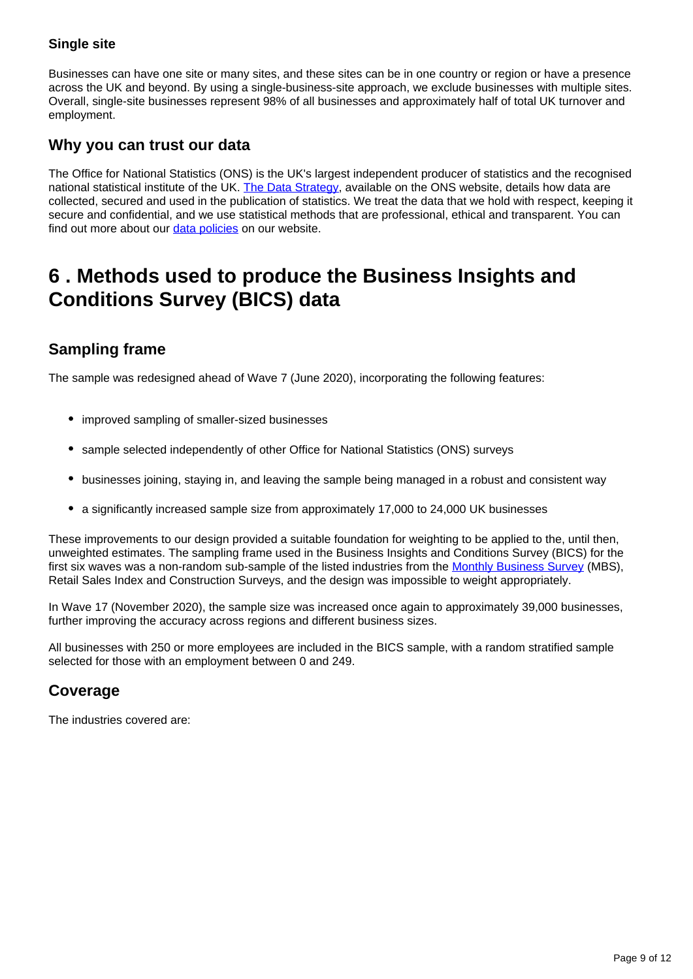#### **Single site**

Businesses can have one site or many sites, and these sites can be in one country or region or have a presence across the UK and beyond. By using a single-business-site approach, we exclude businesses with multiple sites. Overall, single-site businesses represent 98% of all businesses and approximately half of total UK turnover and employment.

## **Why you can trust our data**

The Office for National Statistics (ONS) is the UK's largest independent producer of statistics and the recognised national statistical institute of the UK. [The Data Strategy](https://www.ons.gov.uk/aboutus/transparencyandgovernance/datastrategy), available on the ONS website, details how data are collected, secured and used in the publication of statistics. We treat the data that we hold with respect, keeping it secure and confidential, and we use statistical methods that are professional, ethical and transparent. You can find out more about our [data policies](https://www.ons.gov.uk/aboutus/transparencyandgovernance/datastrategy/datapolicies) on our website.

## <span id="page-8-0"></span>**6 . Methods used to produce the Business Insights and Conditions Survey (BICS) data**

## **Sampling frame**

The sample was redesigned ahead of Wave 7 (June 2020), incorporating the following features:

- improved sampling of smaller-sized businesses
- sample selected independently of other Office for National Statistics (ONS) surveys
- businesses joining, staying in, and leaving the sample being managed in a robust and consistent way
- a significantly increased sample size from approximately 17,000 to 24,000 UK businesses

These improvements to our design provided a suitable foundation for weighting to be applied to the, until then, unweighted estimates. The sampling frame used in the Business Insights and Conditions Survey (BICS) for the first six waves was a non-random sub-sample of the listed industries from the [Monthly Business Survey](https://www.ons.gov.uk/surveys/informationforbusinesses/businesssurveys/monthlybusinesssurveyproductionandservices) (MBS), Retail Sales Index and Construction Surveys, and the design was impossible to weight appropriately.

In Wave 17 (November 2020), the sample size was increased once again to approximately 39,000 businesses, further improving the accuracy across regions and different business sizes.

All businesses with 250 or more employees are included in the BICS sample, with a random stratified sample selected for those with an employment between 0 and 249.

## **Coverage**

The industries covered are: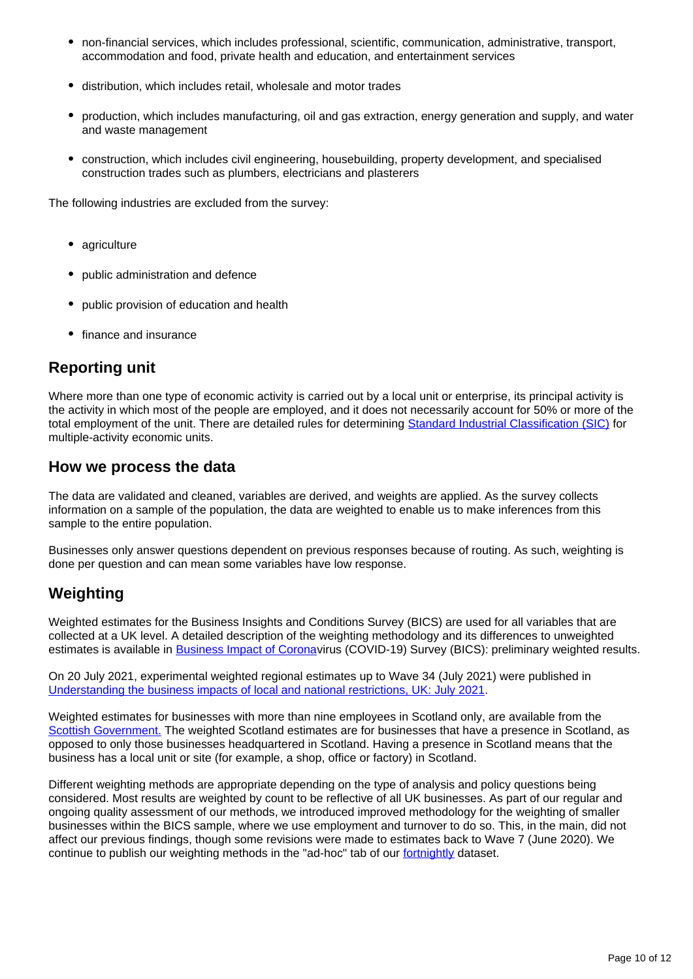- non-financial services, which includes professional, scientific, communication, administrative, transport, accommodation and food, private health and education, and entertainment services
- distribution, which includes retail, wholesale and motor trades
- production, which includes manufacturing, oil and gas extraction, energy generation and supply, and water and waste management
- construction, which includes civil engineering, housebuilding, property development, and specialised construction trades such as plumbers, electricians and plasterers

The following industries are excluded from the survey:

- agriculture
- public administration and defence
- public provision of education and health
- finance and insurance

### **Reporting unit**

Where more than one type of economic activity is carried out by a local unit or enterprise, its principal activity is the activity in which most of the people are employed, and it does not necessarily account for 50% or more of the total employment of the unit. There are detailed rules for determining [Standard Industrial Classification \(SIC\)](https://www.ons.gov.uk/methodology/classificationsandstandards/ukstandardindustrialclassificationofeconomicactivities/uksic2007) for multiple-activity economic units.

#### **How we process the data**

The data are validated and cleaned, variables are derived, and weights are applied. As the survey collects information on a sample of the population, the data are weighted to enable us to make inferences from this sample to the entire population.

Businesses only answer questions dependent on previous responses because of routing. As such, weighting is done per question and can mean some variables have low response.

## **Weighting**

Weighted estimates for the Business Insights and Conditions Survey (BICS) are used for all variables that are collected at a UK level. A detailed description of the weighting methodology and its differences to unweighted estimates is available in **[Business Impact of Corona](https://www.ons.gov.uk/businessindustryandtrade/business/businessservices/articles/businessimpactofcoronaviruscovid19survey/preliminaryweightedresults)virus** (COVID-19) Survey (BICS): preliminary weighted results.

On 20 July 2021, experimental weighted regional estimates up to Wave 34 (July 2021) were published in [Understanding the business impacts of local and national restrictions, UK: July 2021.](https://www.ons.gov.uk/businessindustryandtrade/business/businessservices/articles/businessinsightsandimpactontheukandsubnationaleconomy/july2021)

Weighted estimates for businesses with more than nine employees in Scotland only, are available from the [Scottish Government.](https://www.gov.scot/collections/business-and-innovation-statistics/) The weighted Scotland estimates are for businesses that have a presence in Scotland, as opposed to only those businesses headquartered in Scotland. Having a presence in Scotland means that the business has a local unit or site (for example, a shop, office or factory) in Scotland.

Different weighting methods are appropriate depending on the type of analysis and policy questions being considered. Most results are weighted by count to be reflective of all UK businesses. As part of our regular and ongoing quality assessment of our methods, we introduced improved methodology for the weighting of smaller businesses within the BICS sample, where we use employment and turnover to do so. This, in the main, did not affect our previous findings, though some revisions were made to estimates back to Wave 7 (June 2020). We continue to publish our weighting methods in the "ad-hoc" tab of our [fortnightly](https://www.ons.gov.uk/economy/economicoutputandproductivity/output/datasets/businessinsightsandimpactontheukeconomy) dataset.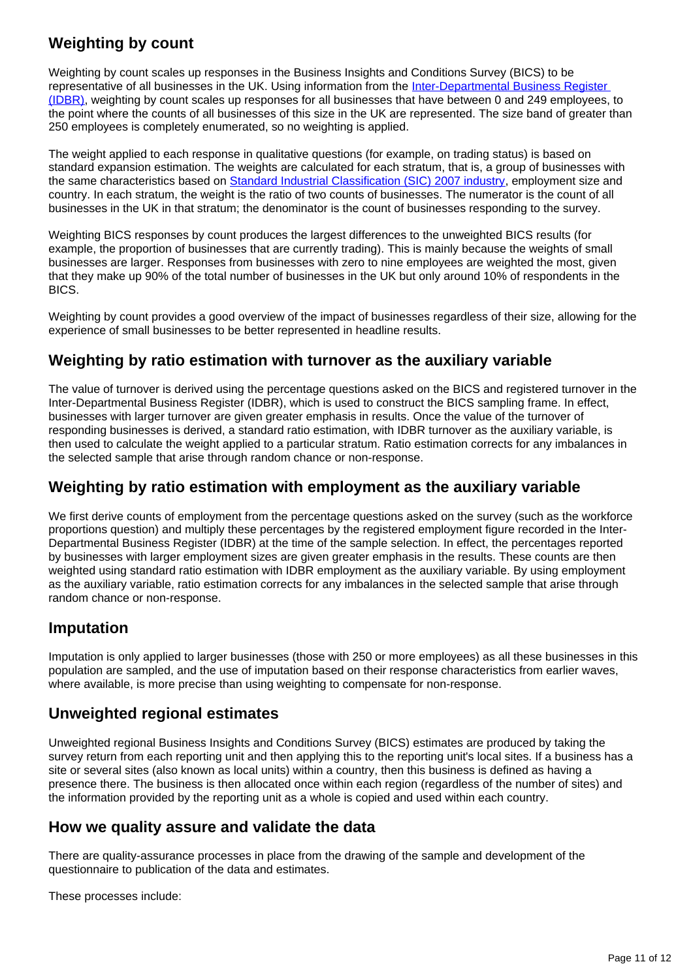## **Weighting by count**

Weighting by count scales up responses in the Business Insights and Conditions Survey (BICS) to be representative of all businesses in the UK. Using information from the Inter-Departmental Business Register [\(IDBR\),](https://www.ons.gov.uk/aboutus/whatwedo/paidservices/interdepartmentalbusinessregisteridbr) weighting by count scales up responses for all businesses that have between 0 and 249 employees, to the point where the counts of all businesses of this size in the UK are represented. The size band of greater than 250 employees is completely enumerated, so no weighting is applied.

The weight applied to each response in qualitative questions (for example, on trading status) is based on standard expansion estimation. The weights are calculated for each stratum, that is, a group of businesses with the same characteristics based on [Standard Industrial Classification \(SIC\) 2007 industry](https://onsdigital.github.io/dp-classification-tools/standard-industrial-classification/ONS_SIC_hierarchy_view.html), employment size and country. In each stratum, the weight is the ratio of two counts of businesses. The numerator is the count of all businesses in the UK in that stratum; the denominator is the count of businesses responding to the survey.

Weighting BICS responses by count produces the largest differences to the unweighted BICS results (for example, the proportion of businesses that are currently trading). This is mainly because the weights of small businesses are larger. Responses from businesses with zero to nine employees are weighted the most, given that they make up 90% of the total number of businesses in the UK but only around 10% of respondents in the BICS.

Weighting by count provides a good overview of the impact of businesses regardless of their size, allowing for the experience of small businesses to be better represented in headline results.

## **Weighting by ratio estimation with turnover as the auxiliary variable**

The value of turnover is derived using the percentage questions asked on the BICS and registered turnover in the Inter-Departmental Business Register (IDBR), which is used to construct the BICS sampling frame. In effect, businesses with larger turnover are given greater emphasis in results. Once the value of the turnover of responding businesses is derived, a standard ratio estimation, with IDBR turnover as the auxiliary variable, is then used to calculate the weight applied to a particular stratum. Ratio estimation corrects for any imbalances in the selected sample that arise through random chance or non-response.

#### **Weighting by ratio estimation with employment as the auxiliary variable**

We first derive counts of employment from the percentage questions asked on the survey (such as the workforce proportions question) and multiply these percentages by the registered employment figure recorded in the Inter-Departmental Business Register (IDBR) at the time of the sample selection. In effect, the percentages reported by businesses with larger employment sizes are given greater emphasis in the results. These counts are then weighted using standard ratio estimation with IDBR employment as the auxiliary variable. By using employment as the auxiliary variable, ratio estimation corrects for any imbalances in the selected sample that arise through random chance or non-response.

#### **Imputation**

Imputation is only applied to larger businesses (those with 250 or more employees) as all these businesses in this population are sampled, and the use of imputation based on their response characteristics from earlier waves, where available, is more precise than using weighting to compensate for non-response.

## **Unweighted regional estimates**

Unweighted regional Business Insights and Conditions Survey (BICS) estimates are produced by taking the survey return from each reporting unit and then applying this to the reporting unit's local sites. If a business has a site or several sites (also known as local units) within a country, then this business is defined as having a presence there. The business is then allocated once within each region (regardless of the number of sites) and the information provided by the reporting unit as a whole is copied and used within each country.

#### **How we quality assure and validate the data**

There are quality-assurance processes in place from the drawing of the sample and development of the questionnaire to publication of the data and estimates.

These processes include: